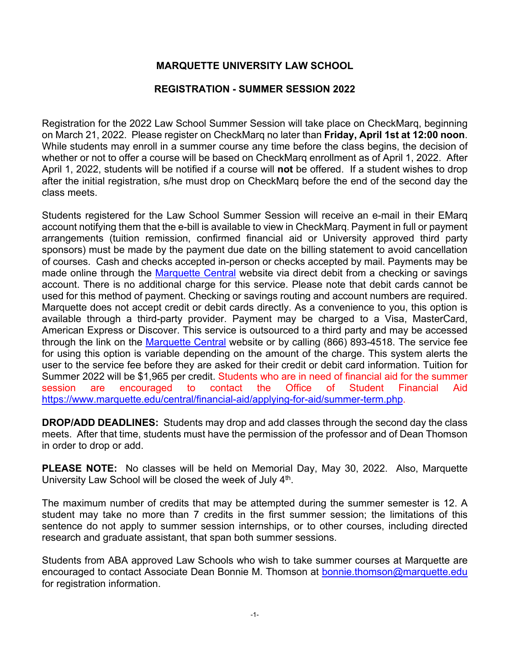# **MARQUETTE UNIVERSITY LAW SCHOOL**

# **REGISTRATION - SUMMER SESSION 2022**

Registration for the 2022 Law School Summer Session will take place on CheckMarq, beginning on March 21, 2022. Please register on CheckMarq no later than **Friday, April 1st at 12:00 noon**. While students may enroll in a summer course any time before the class begins, the decision of whether or not to offer a course will be based on CheckMarq enrollment as of April 1, 2022. After April 1, 2022, students will be notified if a course will **not** be offered. If a student wishes to drop after the initial registration, s/he must drop on CheckMarq before the end of the second day the class meets.

Students registered for the Law School Summer Session will receive an e-mail in their EMarq account notifying them that the e-bill is available to view in CheckMarq. Payment in full or payment arrangements (tuition remission, confirmed financial aid or University approved third party sponsors) must be made by the payment due date on the billing statement to avoid cancellation of courses. Cash and checks accepted in-person or checks accepted by mail. Payments may be made online through the [Marquette Central](http://www.marquette.edu/mucentral/) website via direct debit from a checking or savings account. There is no additional charge for this service. Please note that debit cards cannot be used for this method of payment. Checking or savings routing and account numbers are required. Marquette does not accept credit or debit cards directly. As a convenience to you, this option is available through a third-party provider. Payment may be charged to a Visa, MasterCard, American Express or Discover. This service is outsourced to a third party and may be accessed through the link on the [Marquette Central](http://www.marquette.edu/mucentral/) website or by calling (866) 893-4518. The service fee for using this option is variable depending on the amount of the charge. This system alerts the user to the service fee before they are asked for their credit or debit card information. Tuition for Summer 2022 will be \$1,965 per credit. Students who are in need of financial aid for the summer session are encouraged to contact the Office of Student Financial Aid [https://www.marquette.edu/central/financial-aid/applying-for-aid/summer-term.php.](https://www.marquette.edu/central/financial-aid/applying-for-aid/summer-term.php)

**DROP/ADD DEADLINES:** Students may drop and add classes through the second day the class meets. After that time, students must have the permission of the professor and of Dean Thomson in order to drop or add.

**PLEASE NOTE:** No classes will be held on Memorial Day, May 30, 2022. Also, Marquette University Law School will be closed the week of July 4<sup>th</sup>.

The maximum number of credits that may be attempted during the summer semester is 12. A student may take no more than 7 credits in the first summer session; the limitations of this sentence do not apply to summer session internships, or to other courses, including directed research and graduate assistant, that span both summer sessions.

Students from ABA approved Law Schools who wish to take summer courses at Marquette are encouraged to contact Associate Dean Bonnie M. Thomson at [bonnie.thomson@marquette.edu](mailto:bonnie.thomson@marquette.edu) for registration information.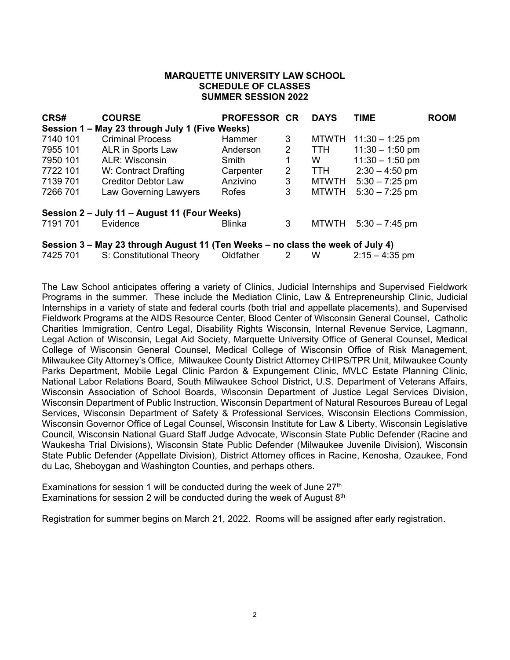### **MARQUETTE UNIVERSITY LAW SCHOOL SCHEDULE OF CLASSES SUMMER SESSION 2022**

| CRS#     | <b>COURSE</b>                                                                  | <b>PROFESSOR CR</b> |   | <b>DAYS</b>  | <b>TIME</b>       | <b>ROOM</b> |
|----------|--------------------------------------------------------------------------------|---------------------|---|--------------|-------------------|-------------|
|          | Session 1 – May 23 through July 1 (Five Weeks)                                 |                     |   |              |                   |             |
| 7140 101 | <b>Criminal Process</b>                                                        | Hammer              | 3 | <b>MTWTH</b> | $11:30 - 1:25$ pm |             |
| 7955 101 | ALR in Sports Law                                                              | Anderson            | 2 | <b>TTH</b>   | $11:30 - 1:50$ pm |             |
| 7950 101 | ALR: Wisconsin                                                                 | Smith               | 1 | W            | $11:30 - 1:50$ pm |             |
| 7722 101 | W: Contract Drafting                                                           | Carpenter           | 2 | TTH          | $2:30 - 4:50$ pm  |             |
| 7139 701 | <b>Creditor Debtor Law</b>                                                     | Anzivino            | 3 | MTWTH        | $5:30 - 7:25$ pm  |             |
| 7266 701 | Law Governing Lawyers                                                          | Rofes               | 3 | <b>MTWTH</b> | $5:30 - 7:25$ pm  |             |
|          | Session 2 – July 11 – August 11 (Four Weeks)                                   |                     |   |              |                   |             |
| 7191 701 | Evidence                                                                       | <b>Blinka</b>       | 3 | <b>MTWTH</b> | $5:30 - 7:45$ pm  |             |
|          | Session 3 – May 23 through August 11 (Ten Weeks – no class the week of July 4) |                     |   |              |                   |             |
| 7425 701 | S: Constitutional Theory                                                       | Oldfather           | 2 | W            | $2:15 - 4:35$ pm  |             |

The Law School anticipates offering a variety of Clinics, Judicial Internships and Supervised Fieldwork Programs in the summer. These include the Mediation Clinic, Law & Entrepreneurship Clinic, Judicial Internships in a variety of state and federal courts (both trial and appellate placements), and Supervised Fieldwork Programs at the AIDS Resource Center, Blood Center of Wisconsin General Counsel, Catholic Charities Immigration, Centro Legal, Disability Rights Wisconsin, Internal Revenue Service, Lagmann, Legal Action of Wisconsin, Legal Aid Society, Marquette University Office of General Counsel, Medical College of Wisconsin General Counsel, Medical College of Wisconsin Office of Risk Management, Milwaukee City Attorney's Office, Milwaukee County District Attorney CHIPS/TPR Unit, Milwaukee County Parks Department, Mobile Legal Clinic Pardon & Expungement Clinic, MVLC Estate Planning Clinic, National Labor Relations Board, South Milwaukee School District, U.S. Department of Veterans Affairs, Wisconsin Association of School Boards, Wisconsin Department of Justice Legal Services Division, Wisconsin Department of Public Instruction, Wisconsin Department of Natural Resources Bureau of Legal Services, Wisconsin Department of Safety & Professional Services, Wisconsin Elections Commission, Wisconsin Governor Office of Legal Counsel, Wisconsin Institute for Law & Liberty, Wisconsin Legislative Council, Wisconsin National Guard Staff Judge Advocate, Wisconsin State Public Defender (Racine and Waukesha Trial Divisions), Wisconsin State Public Defender (Milwaukee Juvenile Division), Wisconsin State Public Defender (Appellate Division), District Attorney offices in Racine, Kenosha, Ozaukee, Fond du Lac, Sheboygan and Washington Counties, and perhaps others.

Examinations for session 1 will be conducted during the week of June  $27<sup>th</sup>$ Examinations for session 2 will be conducted during the week of August  $8<sup>th</sup>$ 

Registration for summer begins on March 21, 2022. Rooms will be assigned after early registration.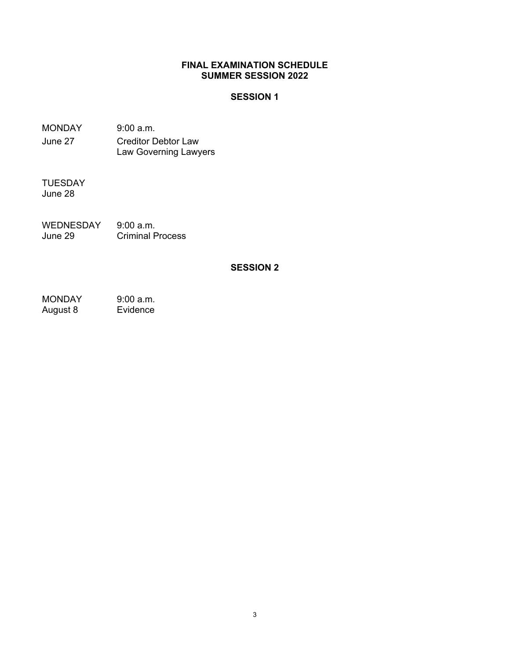## **FINAL EXAMINATION SCHEDULE SUMMER SESSION 2022**

## **SESSION 1**

MONDAY 9:00 a.m. June 27 Creditor Debtor Law Law Governing Lawyers

TUESDAY June 28

WEDNESDAY 9:00 a.m.<br>June 29 Criminal P **Criminal Process** 

## **SESSION 2**

MONDAY 9:00 a.m.<br>August 8 Evidence August 8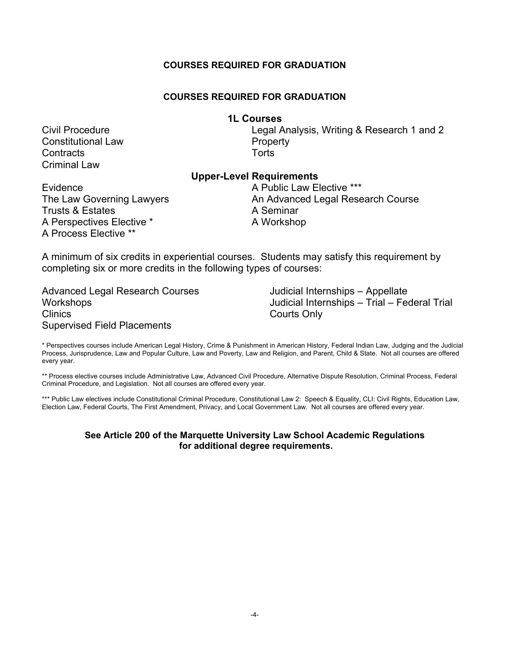### **COURSES REQUIRED FOR GRADUATION**

## **COURSES REQUIRED FOR GRADUATION**

#### **1L Courses**

Constitutional Law **Property** Contracts Torts Criminal Law

Civil Procedure Legal Analysis, Writing & Research 1 and 2

## **Upper-Level Requirements**

Trusts & Estates **A Seminar** A Perspectives Elective \* A Workshop A Process Elective \*\*

Evidence **A Public Law Elective \*\*\*** The Law Governing Lawyers **An Advanced Legal Research Course** 

A minimum of six credits in experiential courses. Students may satisfy this requirement by completing six or more credits in the following types of courses:

Advanced Legal Research Courses **Workshops Clinics** Supervised Field Placements

Judicial Internships – Appellate Judicial Internships – Trial – Federal Trial Courts Only

\* Perspectives courses include American Legal History, Crime & Punishment in American History, Federal Indian Law, Judging and the Judicial Process, Jurisprudence, Law and Popular Culture, Law and Poverty, Law and Religion, and Parent, Child & State. Not all courses are offered every year.

\*\* Process elective courses include Administrative Law, Advanced Civil Procedure, Alternative Dispute Resolution, Criminal Process, Federal Criminal Procedure, and Legislation. Not all courses are offered every year.

\*\*\* Public Law electives include Constitutional Criminal Procedure, Constitutional Law 2: Speech & Equality, CLI: Civil Rights, Education Law, Election Law, Federal Courts, The First Amendment, Privacy, and Local Government Law. Not all courses are offered every year.

#### **See Article 200 of the Marquette University Law School Academic Regulations for additional degree requirements.**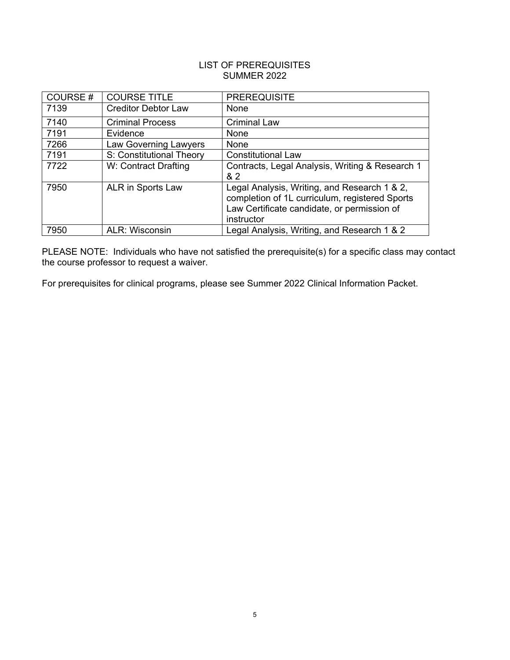## LIST OF PREREQUISITES SUMMER 2022

| COURSE# | <b>COURSE TITLE</b>        | <b>PREREQUISITE</b>                                                                                                                                         |
|---------|----------------------------|-------------------------------------------------------------------------------------------------------------------------------------------------------------|
| 7139    | <b>Creditor Debtor Law</b> | None                                                                                                                                                        |
| 7140    | <b>Criminal Process</b>    | <b>Criminal Law</b>                                                                                                                                         |
| 7191    | Evidence                   | None                                                                                                                                                        |
| 7266    | Law Governing Lawyers      | None                                                                                                                                                        |
| 7191    | S: Constitutional Theory   | <b>Constitutional Law</b>                                                                                                                                   |
| 7722    | W: Contract Drafting       | Contracts, Legal Analysis, Writing & Research 1<br>& 2                                                                                                      |
| 7950    | ALR in Sports Law          | Legal Analysis, Writing, and Research 1 & 2,<br>completion of 1L curriculum, registered Sports<br>Law Certificate candidate, or permission of<br>instructor |
| 7950    | <b>ALR: Wisconsin</b>      | Legal Analysis, Writing, and Research 1 & 2                                                                                                                 |

PLEASE NOTE: Individuals who have not satisfied the prerequisite(s) for a specific class may contact the course professor to request a waiver.

For prerequisites for clinical programs, please see Summer 2022 Clinical Information Packet.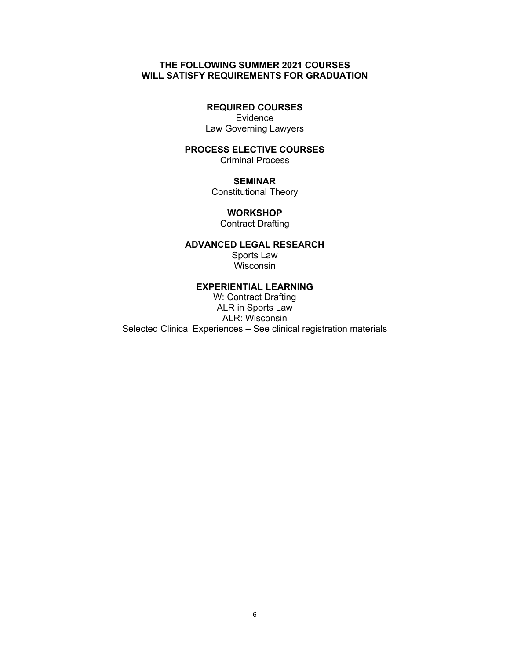## **THE FOLLOWING SUMMER 2021 COURSES WILL SATISFY REQUIREMENTS FOR GRADUATION**

## **REQUIRED COURSES**

Evidence Law Governing Lawyers

## **PROCESS ELECTIVE COURSES**

Criminal Process

### **SEMINAR**

Constitutional Theory

#### **WORKSHOP**

Contract Drafting

#### **ADVANCED LEGAL RESEARCH**

Sports Law Wisconsin

#### **EXPERIENTIAL LEARNING**

W: Contract Drafting ALR in Sports Law ALR: Wisconsin Selected Clinical Experiences – See clinical registration materials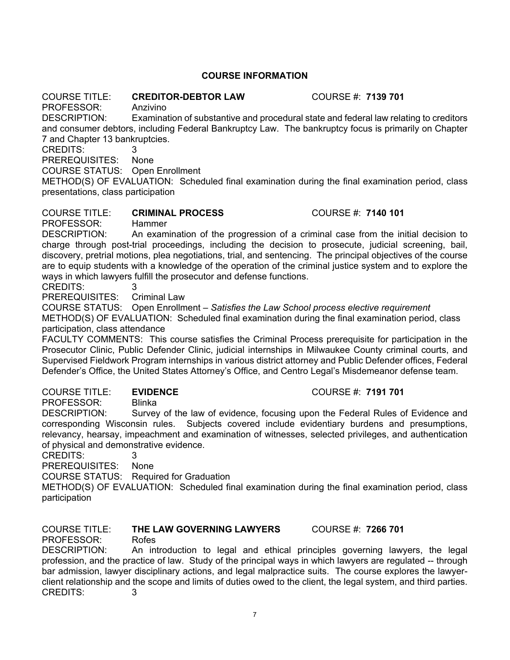## **COURSE INFORMATION**

## COURSE TITLE: **CREDITOR-DEBTOR LAW** COURSE #: **7139 701**

PROFESSOR: Anzivino

DESCRIPTION: Examination of substantive and procedural state and federal law relating to creditors and consumer debtors, including Federal Bankruptcy Law. The bankruptcy focus is primarily on Chapter 7 and Chapter 13 bankruptcies.

CREDITS: 3

PREREQUISITES: None

COURSE STATUS: Open Enrollment

METHOD(S) OF EVALUATION: Scheduled final examination during the final examination period, class presentations, class participation

## COURSE TITLE: **CRIMINAL PROCESS** COURSE #: **7140 101**

PROFESSOR: Hammer

DESCRIPTION: An examination of the progression of a criminal case from the initial decision to charge through post-trial proceedings, including the decision to prosecute, judicial screening, bail, discovery, pretrial motions, plea negotiations, trial, and sentencing. The principal objectives of the course are to equip students with a knowledge of the operation of the criminal justice system and to explore the ways in which lawyers fulfill the prosecutor and defense functions.

CREDITS: 3

PREREQUISITES: Criminal Law

COURSE STATUS: Open Enrollment – *Satisfies the Law School process elective requirement* METHOD(S) OF EVALUATION: Scheduled final examination during the final examination period, class participation, class attendance

FACULTY COMMENTS: This course satisfies the Criminal Process prerequisite for participation in the Prosecutor Clinic, Public Defender Clinic, judicial internships in Milwaukee County criminal courts, and Supervised Fieldwork Program internships in various district attorney and Public Defender offices, Federal Defender's Office, the United States Attorney's Office, and Centro Legal's Misdemeanor defense team.

#### COURSE TITLE: **EVIDENCE** COURSE #: **7191 701**

PROFESSOR: Blinka

DESCRIPTION: Survey of the law of evidence, focusing upon the Federal Rules of Evidence and corresponding Wisconsin rules. Subjects covered include evidentiary burdens and presumptions, relevancy, hearsay, impeachment and examination of witnesses, selected privileges, and authentication of physical and demonstrative evidence.

CREDITS: 3

PREREQUISITES: None

COURSE STATUS: Required for Graduation

METHOD(S) OF EVALUATION: Scheduled final examination during the final examination period, class participation

## COURSE TITLE: **THE LAW GOVERNING LAWYERS** COURSE #: **7266 701** PROFESSOR: Rofes

DESCRIPTION: An introduction to legal and ethical principles governing lawyers, the legal profession, and the practice of law. Study of the principal ways in which lawyers are regulated -- through bar admission, lawyer disciplinary actions, and legal malpractice suits. The course explores the lawyerclient relationship and the scope and limits of duties owed to the client, the legal system, and third parties. CREDITS: 3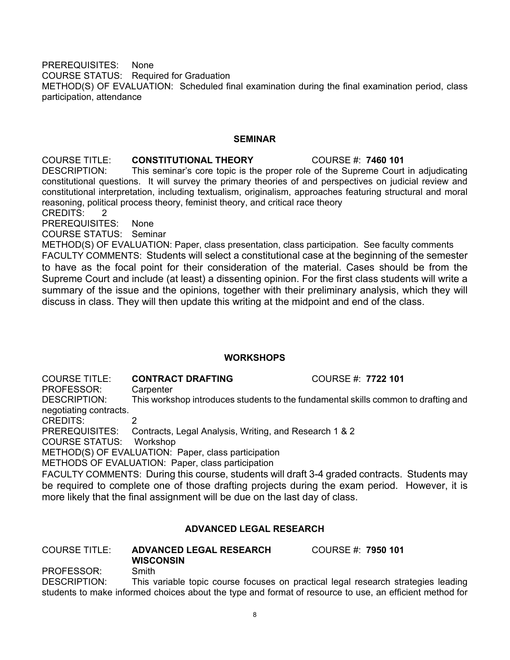PREREQUISITES: None COURSE STATUS: Required for Graduation METHOD(S) OF EVALUATION: Scheduled final examination during the final examination period, class participation, attendance

#### **SEMINAR**

## **COURSE TITLE: CONSTITUTIONAL THEORY COURSE #: 7460 101 DESCRIPTION:** This seminar's core topic is the proper role of the Supreme Court This seminar's core topic is the proper role of the Supreme Court in adjudicating constitutional questions. It will survey the primary theories of and perspectives on judicial review and constitutional interpretation, including textualism, originalism, approaches featuring structural and moral

reasoning, political process theory, feminist theory, and critical race theory CREDITS: 2

PREREQUISITES: None

COURSE STATUS: Seminar

METHOD(S) OF EVALUATION: Paper, class presentation, class participation. See faculty comments FACULTY COMMENTS: Students will select a constitutional case at the beginning of the semester to have as the focal point for their consideration of the material. Cases should be from the Supreme Court and include (at least) a dissenting opinion. For the first class students will write a summary of the issue and the opinions, together with their preliminary analysis, which they will discuss in class. They will then update this writing at the midpoint and end of the class.

## **WORKSHOPS**

COURSE TITLE: **CONTRACT DRAFTING** COURSE #: **7722 101** PROFESSOR: Carpenter

DESCRIPTION: This workshop introduces students to the fundamental skills common to drafting and negotiating contracts.

CREDITS: 2<br>PREREQUISITES: C

Contracts, Legal Analysis, Writing, and Research 1 & 2

COURSE STATUS: Workshop

METHOD(S) OF EVALUATION: Paper, class participation

METHODS OF EVALUATION: Paper, class participation

FACULTY COMMENTS: During this course, students will draft 3-4 graded contracts. Students may be required to complete one of those drafting projects during the exam period. However, it is more likely that the final assignment will be due on the last day of class.

## **ADVANCED LEGAL RESEARCH**

| <b>COURSE TITLE:</b>        | <b>ADVANCED LEGAL RESEARCH</b> | COURSE #: 7950 101 |  |  |
|-----------------------------|--------------------------------|--------------------|--|--|
|                             | <b>WISCONSIN</b>               |                    |  |  |
| PROFESSOR:                  | Smith                          |                    |  |  |
| $- - - - - - - - - - - - -$ |                                |                    |  |  |

DESCRIPTION: This variable topic course focuses on practical legal research strategies leading students to make informed choices about the type and format of resource to use, an efficient method for